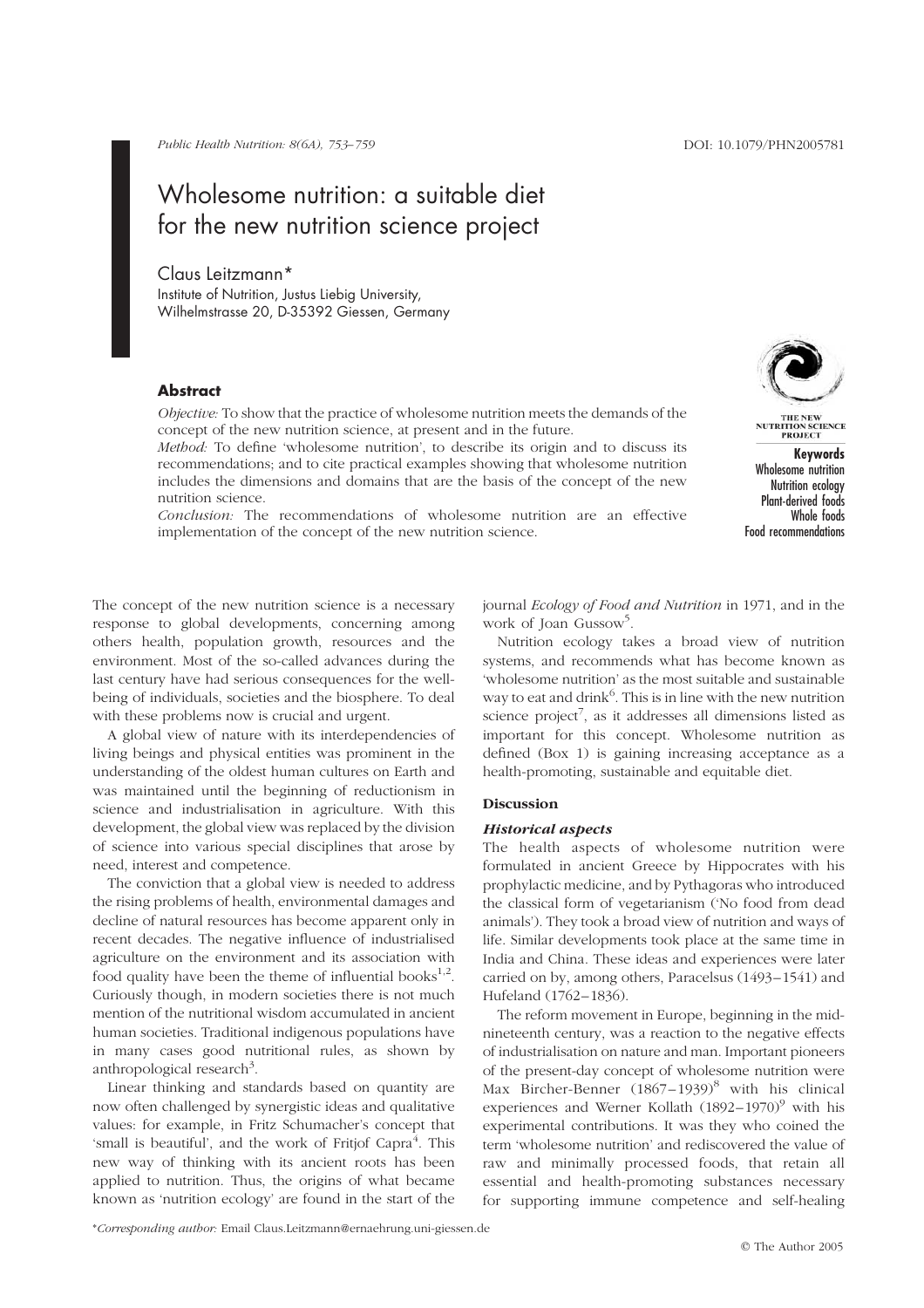# Wholesome nutrition: a suitable diet for the new nutrition science project

Claus Leitzmann\*

Institute of Nutrition, Justus Liebig University, Wilhelmstrasse 20, D-35392 Giessen, Germany

# Abstract

Objective: To show that the practice of wholesome nutrition meets the demands of the concept of the new nutrition science, at present and in the future.

Method: To define 'wholesome nutrition', to describe its origin and to discuss its recommendations; and to cite practical examples showing that wholesome nutrition includes the dimensions and domains that are the basis of the concept of the new nutrition science.

Conclusion: The recommendations of wholesome nutrition are an effective implementation of the concept of the new nutrition science.



NUTRITION SCIENCE

Keywords Wholesome nutrition Nutrition ecology Plant-derived foods Whole foods Food recommendations

The concept of the new nutrition science is a necessary response to global developments, concerning among others health, population growth, resources and the environment. Most of the so-called advances during the last century have had serious consequences for the wellbeing of individuals, societies and the biosphere. To deal with these problems now is crucial and urgent.

A global view of nature with its interdependencies of living beings and physical entities was prominent in the understanding of the oldest human cultures on Earth and was maintained until the beginning of reductionism in science and industrialisation in agriculture. With this development, the global view was replaced by the division of science into various special disciplines that arose by need, interest and competence.

The conviction that a global view is needed to address the rising problems of health, environmental damages and decline of natural resources has become apparent only in recent decades. The negative influence of industrialised agriculture on the environment and its association with food quality have been the theme of influential books $^{1,2}$ . Curiously though, in modern societies there is not much mention of the nutritional wisdom accumulated in ancient human societies. Traditional indigenous populations have in many cases good nutritional rules, as shown by anthropological research<sup>3</sup>.

Linear thinking and standards based on quantity are now often challenged by synergistic ideas and qualitative values: for example, in Fritz Schumacher's concept that 'small is beautiful', and the work of Fritjof Capra<sup>4</sup>. This new way of thinking with its ancient roots has been applied to nutrition. Thus, the origins of what became known as 'nutrition ecology' are found in the start of the

journal Ecology of Food and Nutrition in 1971, and in the work of Joan Gussow<sup>5</sup>.

Nutrition ecology takes a broad view of nutrition systems, and recommends what has become known as 'wholesome nutrition' as the most suitable and sustainable way to eat and drink $^6$ . This is in line with the new nutrition science project<sup>7</sup>, as it addresses all dimensions listed as important for this concept. Wholesome nutrition as defined (Box 1) is gaining increasing acceptance as a health-promoting, sustainable and equitable diet.

### Discussion

# Historical aspects

The health aspects of wholesome nutrition were formulated in ancient Greece by Hippocrates with his prophylactic medicine, and by Pythagoras who introduced the classical form of vegetarianism ('No food from dead animals'). They took a broad view of nutrition and ways of life. Similar developments took place at the same time in India and China. These ideas and experiences were later carried on by, among others, Paracelsus (1493–1541) and Hufeland (1762–1836).

The reform movement in Europe, beginning in the midnineteenth century, was a reaction to the negative effects of industrialisation on nature and man. Important pioneers of the present-day concept of wholesome nutrition were Max Bircher-Benner  $(1867-1939)^8$  with his clinical experiences and Werner Kollath  $(1892-1970)^9$  with his experimental contributions. It was they who coined the term 'wholesome nutrition' and rediscovered the value of raw and minimally processed foods, that retain all essential and health-promoting substances necessary for supporting immune competence and self-healing

\*Corresponding author: Email Claus.Leitzmann@ernaehrung.uni-giessen.de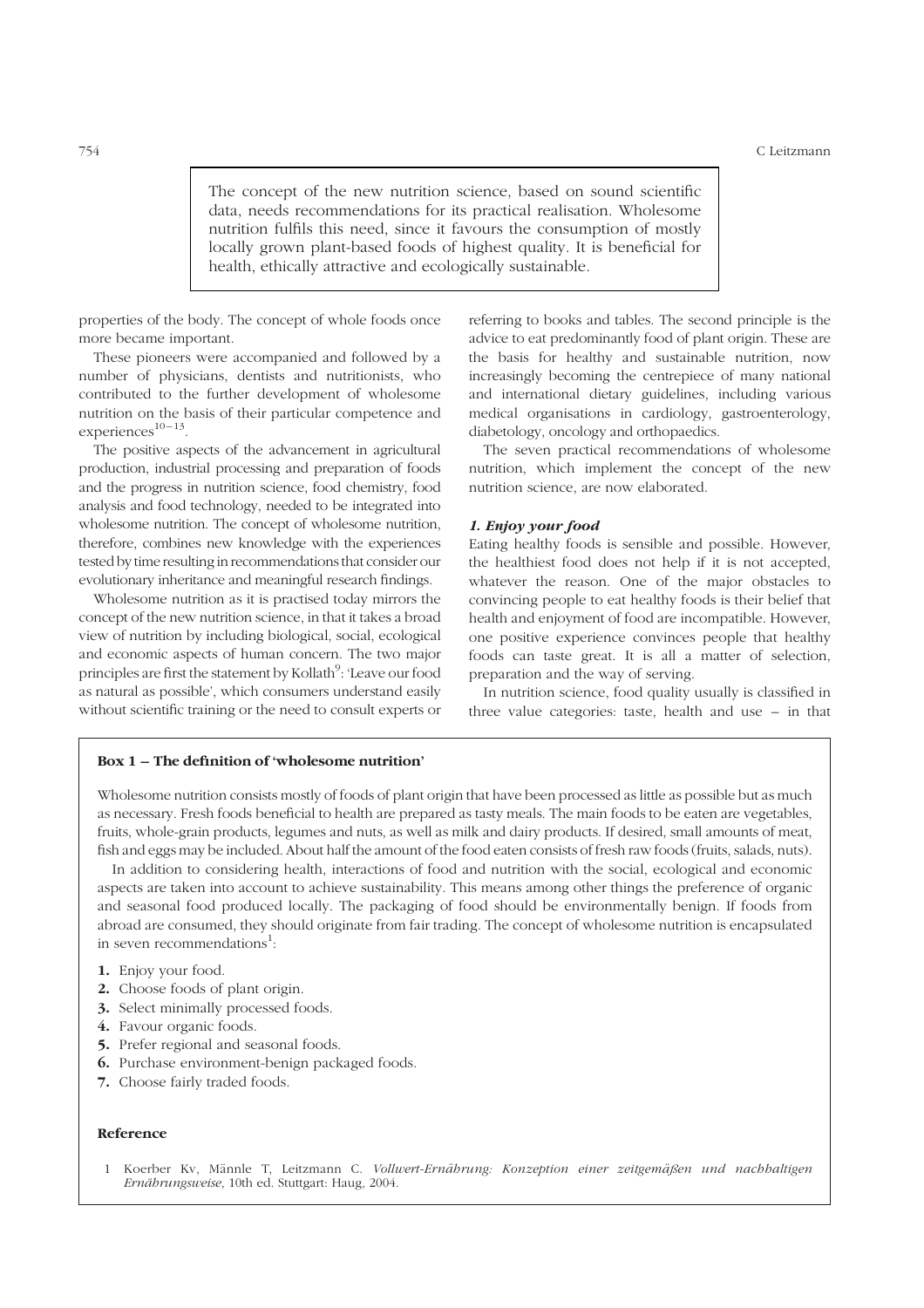The concept of the new nutrition science, based on sound scientific data, needs recommendations for its practical realisation. Wholesome nutrition fulfils this need, since it favours the consumption of mostly locally grown plant-based foods of highest quality. It is beneficial for health, ethically attractive and ecologically sustainable.

properties of the body. The concept of whole foods once more became important.

These pioneers were accompanied and followed by a number of physicians, dentists and nutritionists, who contributed to the further development of wholesome nutrition on the basis of their particular competence and experiences<sup>10-13</sup>.

The positive aspects of the advancement in agricultural production, industrial processing and preparation of foods and the progress in nutrition science, food chemistry, food analysis and food technology, needed to be integrated into wholesome nutrition. The concept of wholesome nutrition, therefore, combines new knowledge with the experiences tested by time resulting in recommendations that consider our evolutionary inheritance and meaningful research findings.

Wholesome nutrition as it is practised today mirrors the concept of the new nutrition science, in that it takes a broad view of nutrition by including biological, social, ecological and economic aspects of human concern. The two major principles are first the statement by Kollath $9$ : 'Leave our food as natural as possible', which consumers understand easily without scientific training or the need to consult experts or referring to books and tables. The second principle is the advice to eat predominantly food of plant origin. These are the basis for healthy and sustainable nutrition, now increasingly becoming the centrepiece of many national and international dietary guidelines, including various medical organisations in cardiology, gastroenterology, diabetology, oncology and orthopaedics.

The seven practical recommendations of wholesome nutrition, which implement the concept of the new nutrition science, are now elaborated.

#### 1. Enjoy your food

Eating healthy foods is sensible and possible. However, the healthiest food does not help if it is not accepted, whatever the reason. One of the major obstacles to convincing people to eat healthy foods is their belief that health and enjoyment of food are incompatible. However, one positive experience convinces people that healthy foods can taste great. It is all a matter of selection, preparation and the way of serving.

In nutrition science, food quality usually is classified in three value categories: taste, health and use – in that

# Box 1 – The definition of 'wholesome nutrition'

Wholesome nutrition consists mostly of foods of plant origin that have been processed as little as possible but as much as necessary. Fresh foods beneficial to health are prepared as tasty meals. The main foods to be eaten are vegetables, fruits, whole-grain products, legumes and nuts, as well as milk and dairy products. If desired, small amounts of meat, fish and eggs may be included. About half the amount of the food eaten consists of fresh raw foods (fruits, salads, nuts).

In addition to considering health, interactions of food and nutrition with the social, ecological and economic aspects are taken into account to achieve sustainability. This means among other things the preference of organic and seasonal food produced locally. The packaging of food should be environmentally benign. If foods from abroad are consumed, they should originate from fair trading. The concept of wholesome nutrition is encapsulated in seven recommendations<sup>1</sup>:

- 1. Enjoy your food.
- 2. Choose foods of plant origin.
- 3. Select minimally processed foods.
- 4. Favour organic foods.
- 5. Prefer regional and seasonal foods.
- 6. Purchase environment-benign packaged foods.
- 7. Choose fairly traded foods.

# Reference

1 Koerber Kv, Männle T, Leitzmann C. Vollwert-Ernäbrung: Konzeption einer zeitgemäßen und nachhaltigen Ernährungsweise, 10th ed. Stuttgart: Haug, 2004.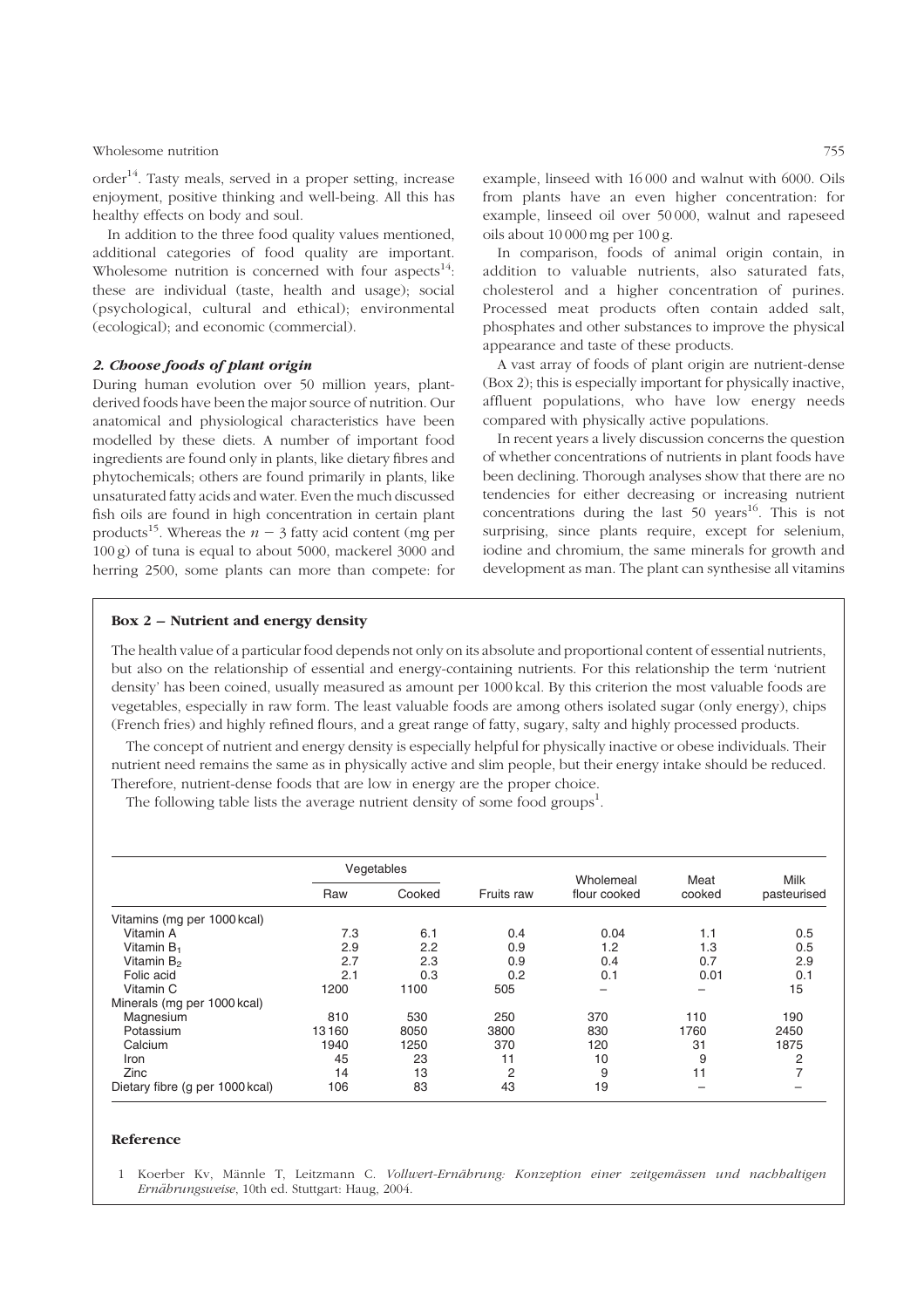#### Wholesome nutrition 755

 $order<sup>14</sup>$ . Tasty meals, served in a proper setting, increase enjoyment, positive thinking and well-being. All this has healthy effects on body and soul.

In addition to the three food quality values mentioned, additional categories of food quality are important. Wholesome nutrition is concerned with four aspects<sup>14</sup>: these are individual (taste, health and usage); social (psychological, cultural and ethical); environmental (ecological); and economic (commercial).

# 2. Choose foods of plant origin

During human evolution over 50 million years, plantderived foods have been the major source of nutrition. Our anatomical and physiological characteristics have been modelled by these diets. A number of important food ingredients are found only in plants, like dietary fibres and phytochemicals; others are found primarily in plants, like unsaturated fatty acids and water. Even the much discussed fish oils are found in high concentration in certain plant products<sup>15</sup>. Whereas the  $n - 3$  fatty acid content (mg per 100 g) of tuna is equal to about 5000, mackerel 3000 and herring 2500, some plants can more than compete: for

example, linseed with 16 000 and walnut with 6000. Oils from plants have an even higher concentration: for example, linseed oil over 50 000, walnut and rapeseed oils about 10 000 mg per 100 g.

In comparison, foods of animal origin contain, in addition to valuable nutrients, also saturated fats, cholesterol and a higher concentration of purines. Processed meat products often contain added salt, phosphates and other substances to improve the physical appearance and taste of these products.

A vast array of foods of plant origin are nutrient-dense (Box 2); this is especially important for physically inactive, affluent populations, who have low energy needs compared with physically active populations.

In recent years a lively discussion concerns the question of whether concentrations of nutrients in plant foods have been declining. Thorough analyses show that there are no tendencies for either decreasing or increasing nutrient concentrations during the last  $50$  years<sup>16</sup>. This is not surprising, since plants require, except for selenium, iodine and chromium, the same minerals for growth and development as man. The plant can synthesise all vitamins

# Box 2 – Nutrient and energy density

The health value of a particular food depends not only on its absolute and proportional content of essential nutrients, but also on the relationship of essential and energy-containing nutrients. For this relationship the term 'nutrient density' has been coined, usually measured as amount per 1000 kcal. By this criterion the most valuable foods are vegetables, especially in raw form. The least valuable foods are among others isolated sugar (only energy), chips (French fries) and highly refined flours, and a great range of fatty, sugary, salty and highly processed products.

The concept of nutrient and energy density is especially helpful for physically inactive or obese individuals. Their nutrient need remains the same as in physically active and slim people, but their energy intake should be reduced. Therefore, nutrient-dense foods that are low in energy are the proper choice.

The following table lists the average nutrient density of some food groups<sup>1</sup>.

|                                 | Vegetables |        |                | Wholemeal    |                | Milk        |  |
|---------------------------------|------------|--------|----------------|--------------|----------------|-------------|--|
|                                 | Raw        | Cooked | Fruits raw     | flour cooked | Meat<br>cooked | pasteurised |  |
| Vitamins (mg per 1000 kcal)     |            |        |                |              |                |             |  |
| Vitamin A                       | 7.3        | 6.1    | 0.4            | 0.04         | 1.1            | 0.5         |  |
| Vitamin $B_1$                   | 2.9        | 2.2    | 0.9            | 1.2          | 1.3            | 0.5         |  |
| Vitamin B <sub>2</sub>          | 2.7        | 2.3    | 0.9            | 0.4          | 0.7            | 2.9         |  |
| Folic acid                      | 2.1        | 0.3    | 0.2            | 0.1          | 0.01           | 0.1         |  |
| Vitamin C                       | 1200       | 1100   | 505            |              |                | 15          |  |
| Minerals (mg per 1000 kcal)     |            |        |                |              |                |             |  |
| Magnesium                       | 810        | 530    | 250            | 370          | 110            | 190         |  |
| Potassium                       | 13160      | 8050   | 3800           | 830          | 1760           | 2450        |  |
| Calcium                         | 1940       | 1250   | 370            | 120          | 31             | 1875        |  |
| Iron                            | 45         | 23     | 11             | 10           | 9              | 2           |  |
| Zinc                            | 14         | 13     | $\overline{2}$ | 9            | 11             |             |  |
| Dietary fibre (g per 1000 kcal) | 106        | 83     | 43             | 19           |                |             |  |

## Reference

1 Koerber Kv, Männle T, Leitzmann C. Vollwert-Ernäbrung: Konzeption einer zeitgemässen und nachhaltigen Ernährungsweise, 10th ed. Stuttgart: Haug, 2004.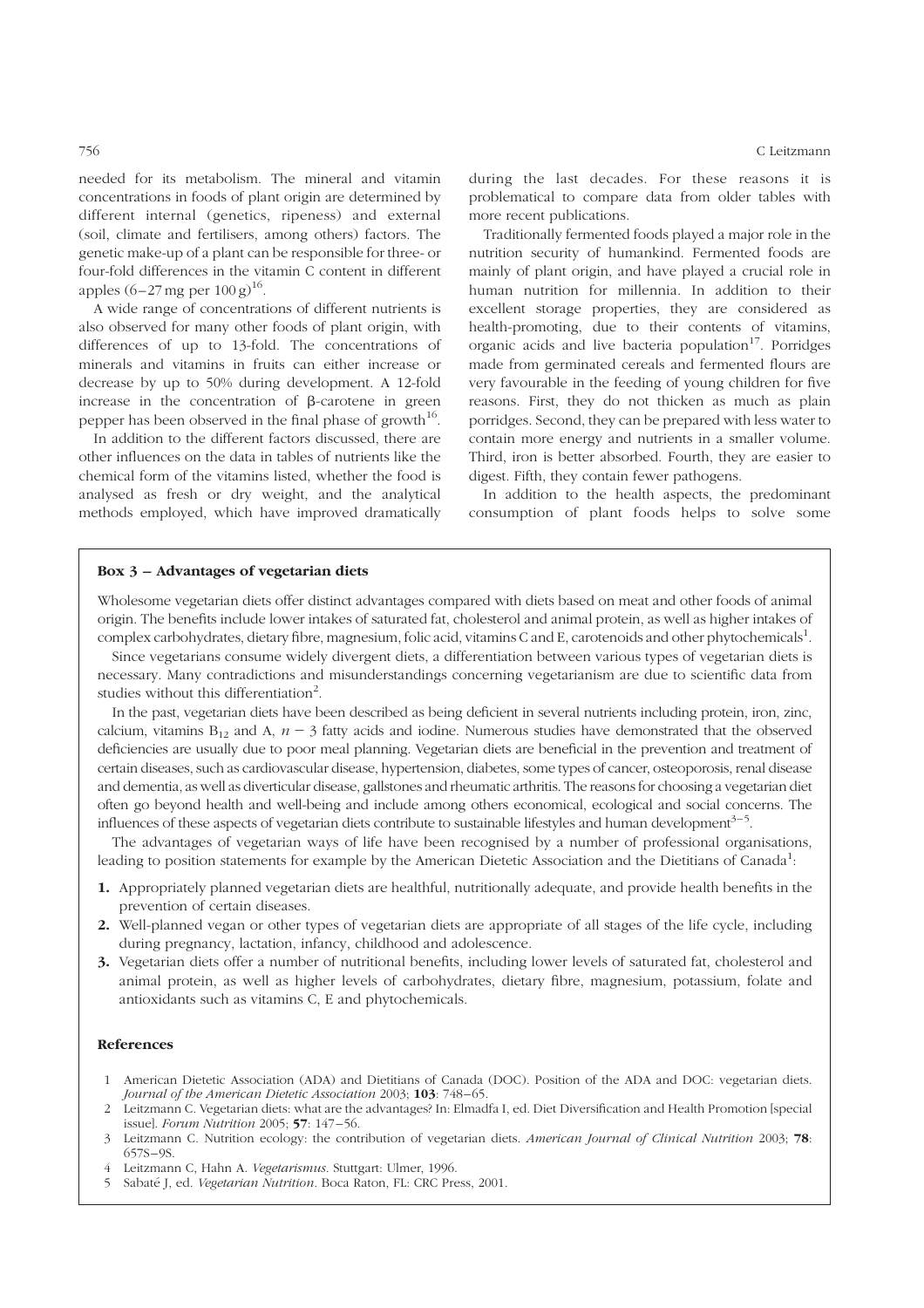needed for its metabolism. The mineral and vitamin concentrations in foods of plant origin are determined by different internal (genetics, ripeness) and external (soil, climate and fertilisers, among others) factors. The genetic make-up of a plant can be responsible for three- or four-fold differences in the vitamin C content in different apples  $(6-27 \text{ mg per } 100 \text{ g})^{16}$ .

A wide range of concentrations of different nutrients is also observed for many other foods of plant origin, with differences of up to 13-fold. The concentrations of minerals and vitamins in fruits can either increase or decrease by up to 50% during development. A 12-fold increase in the concentration of  $\beta$ -carotene in green pepper has been observed in the final phase of growth<sup>16</sup>.

In addition to the different factors discussed, there are other influences on the data in tables of nutrients like the chemical form of the vitamins listed, whether the food is analysed as fresh or dry weight, and the analytical methods employed, which have improved dramatically during the last decades. For these reasons it is problematical to compare data from older tables with more recent publications.

Traditionally fermented foods played a major role in the nutrition security of humankind. Fermented foods are mainly of plant origin, and have played a crucial role in human nutrition for millennia. In addition to their excellent storage properties, they are considered as health-promoting, due to their contents of vitamins, organic acids and live bacteria population<sup>17</sup>. Porridges made from germinated cereals and fermented flours are very favourable in the feeding of young children for five reasons. First, they do not thicken as much as plain porridges. Second, they can be prepared with less water to contain more energy and nutrients in a smaller volume. Third, iron is better absorbed. Fourth, they are easier to digest. Fifth, they contain fewer pathogens.

In addition to the health aspects, the predominant consumption of plant foods helps to solve some

#### Box 3 – Advantages of vegetarian diets

Wholesome vegetarian diets offer distinct advantages compared with diets based on meat and other foods of animal origin. The benefits include lower intakes of saturated fat, cholesterol and animal protein, as well as higher intakes of complex carbohydrates, dietary fibre, magnesium, folic acid, vitamins C and E, carotenoids and other phytochemicals<sup>1</sup>.

Since vegetarians consume widely divergent diets, a differentiation between various types of vegetarian diets is necessary. Many contradictions and misunderstandings concerning vegetarianism are due to scientific data from studies without this differentiation<sup>2</sup>.

In the past, vegetarian diets have been described as being deficient in several nutrients including protein, iron, zinc, calcium, vitamins  $B_{12}$  and A,  $n - 3$  fatty acids and iodine. Numerous studies have demonstrated that the observed deficiencies are usually due to poor meal planning. Vegetarian diets are beneficial in the prevention and treatment of certain diseases, such as cardiovascular disease, hypertension, diabetes, some types of cancer, osteoporosis, renal disease and dementia, as well as diverticular disease, gallstones and rheumatic arthritis. The reasons for choosing a vegetarian diet often go beyond health and well-being and include among others economical, ecological and social concerns. The influences of these aspects of vegetarian diets contribute to sustainable lifestyles and human development $3-5$ .

The advantages of vegetarian ways of life have been recognised by a number of professional organisations, leading to position statements for example by the American Dietetic Association and the Dietitians of Canada<sup>1</sup>:

- 1. Appropriately planned vegetarian diets are healthful, nutritionally adequate, and provide health benefits in the prevention of certain diseases.
- 2. Well-planned vegan or other types of vegetarian diets are appropriate of all stages of the life cycle, including during pregnancy, lactation, infancy, childhood and adolescence.
- 3. Vegetarian diets offer a number of nutritional benefits, including lower levels of saturated fat, cholesterol and animal protein, as well as higher levels of carbohydrates, dietary fibre, magnesium, potassium, folate and antioxidants such as vitamins C, E and phytochemicals.

## References

- 1 American Dietetic Association (ADA) and Dietitians of Canada (DOC). Position of the ADA and DOC: vegetarian diets. Journal of the American Dietetic Association 2003; 103: 748-65.
- 2 Leitzmann C. Vegetarian diets: what are the advantages? In: Elmadfa I, ed. Diet Diversification and Health Promotion [special issue]. Forum Nutrition 2005; 57: 147 – 56.
- 3 Leitzmann C. Nutrition ecology: the contribution of vegetarian diets. American Journal of Clinical Nutrition 2003; 78: 657S– 9S.
- 4 Leitzmann C, Hahn A. Vegetarismus. Stuttgart: Ulmer, 1996.
- 5 Sabaté J, ed. Vegetarian Nutrition. Boca Raton, FL: CRC Press, 2001.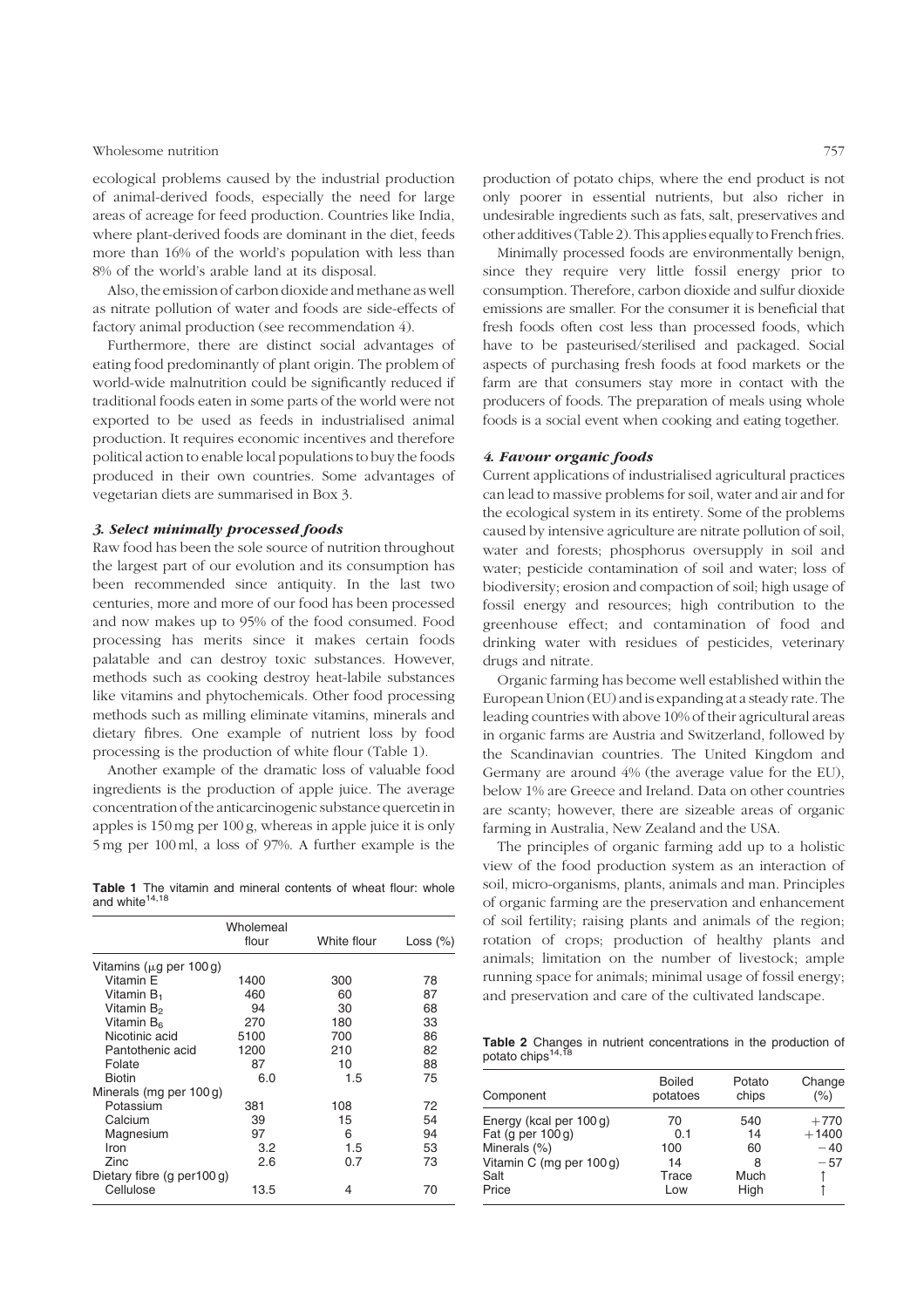## Wholesome nutrition 757

ecological problems caused by the industrial production of animal-derived foods, especially the need for large areas of acreage for feed production. Countries like India, where plant-derived foods are dominant in the diet, feeds more than 16% of the world's population with less than 8% of the world's arable land at its disposal.

Also, the emission of carbon dioxide and methane as well as nitrate pollution of water and foods are side-effects of factory animal production (see recommendation 4).

Furthermore, there are distinct social advantages of eating food predominantly of plant origin. The problem of world-wide malnutrition could be significantly reduced if traditional foods eaten in some parts of the world were not exported to be used as feeds in industrialised animal production. It requires economic incentives and therefore political action to enable local populations to buy the foods produced in their own countries. Some advantages of vegetarian diets are summarised in Box 3.

#### 3. Select minimally processed foods

Raw food has been the sole source of nutrition throughout the largest part of our evolution and its consumption has been recommended since antiquity. In the last two centuries, more and more of our food has been processed and now makes up to 95% of the food consumed. Food processing has merits since it makes certain foods palatable and can destroy toxic substances. However, methods such as cooking destroy heat-labile substances like vitamins and phytochemicals. Other food processing methods such as milling eliminate vitamins, minerals and dietary fibres. One example of nutrient loss by food processing is the production of white flour (Table 1).

Another example of the dramatic loss of valuable food ingredients is the production of apple juice. The average concentration of the anticarcinogenic substance quercetin in apples is 150 mg per 100 g, whereas in apple juice it is only 5 mg per 100 ml, a loss of 97%. A further example is the

Table 1 The vitamin and mineral contents of wheat flour: whole and white $14,18$ 

|                               | Wholemeal |             |             |
|-------------------------------|-----------|-------------|-------------|
|                               | flour     | White flour | Loss $(\%)$ |
| Vitamins ( $\mu$ g per 100 g) |           |             |             |
| Vitamin E                     | 1400      | 300         | 78          |
| Vitamin B <sub>1</sub>        | 460       | 60          | 87          |
| Vitamin B <sub>2</sub>        | 94        | 30          | 68          |
| Vitamin B <sub>6</sub>        | 270       | 180         | 33          |
| Nicotinic acid                | 5100      | 700         | 86          |
| Pantothenic acid              | 1200      | 210         | 82          |
| Folate                        | 87        | 10          | 88          |
| Biotin                        | 6.0       | 1.5         | 75          |
| Minerals (mg per 100 g)       |           |             |             |
| Potassium                     | 381       | 108         | 72          |
| Calcium                       | 39        | 15          | 54          |
| Magnesium                     | 97        | 6           | 94          |
| Iron                          | 3.2       | 1.5         | 53          |
| Zinc                          | 2.6       | 0.7         | 73          |
| Dietary fibre (g per 100 g)   |           |             |             |
| Cellulose                     | 13.5      | 4           | 70          |

production of potato chips, where the end product is not only poorer in essential nutrients, but also richer in undesirable ingredients such as fats, salt, preservatives and other additives (Table 2). This applies equally to French fries.

Minimally processed foods are environmentally benign, since they require very little fossil energy prior to consumption. Therefore, carbon dioxide and sulfur dioxide emissions are smaller. For the consumer it is beneficial that fresh foods often cost less than processed foods, which have to be pasteurised/sterilised and packaged. Social aspects of purchasing fresh foods at food markets or the farm are that consumers stay more in contact with the producers of foods. The preparation of meals using whole foods is a social event when cooking and eating together.

#### 4. Favour organic foods

Current applications of industrialised agricultural practices can lead to massive problems for soil, water and air and for the ecological system in its entirety. Some of the problems caused by intensive agriculture are nitrate pollution of soil, water and forests; phosphorus oversupply in soil and water; pesticide contamination of soil and water; loss of biodiversity; erosion and compaction of soil; high usage of fossil energy and resources; high contribution to the greenhouse effect; and contamination of food and drinking water with residues of pesticides, veterinary drugs and nitrate.

Organic farming has become well established within the European Union (EU) and is expanding at a steady rate. The leading countries with above 10% of their agricultural areas in organic farms are Austria and Switzerland, followed by the Scandinavian countries. The United Kingdom and Germany are around 4% (the average value for the EU), below 1% are Greece and Ireland. Data on other countries are scanty; however, there are sizeable areas of organic farming in Australia, New Zealand and the USA.

The principles of organic farming add up to a holistic view of the food production system as an interaction of soil, micro-organisms, plants, animals and man. Principles of organic farming are the preservation and enhancement of soil fertility; raising plants and animals of the region; rotation of crops; production of healthy plants and animals; limitation on the number of livestock; ample running space for animals; minimal usage of fossil energy; and preservation and care of the cultivated landscape.

|  |                               |  | <b>Table 2</b> Changes in nutrient concentrations in the production of |  |  |
|--|-------------------------------|--|------------------------------------------------------------------------|--|--|
|  | potato chips <sup>14,18</sup> |  |                                                                        |  |  |

| Component                                        | <b>Boiled</b>      | Potato          | Change         |
|--------------------------------------------------|--------------------|-----------------|----------------|
|                                                  | potatoes           | chips           | (%)            |
| Energy (kcal per 100 g)                          | 70                 | 540             | $+770$         |
| Fat (g per 100 g)                                | 0.1                | 14              | $+1400$        |
| Minerals (%)<br>Vitamin C (mg per 100 g)<br>Salt | 100<br>14<br>Trace | 60<br>8<br>Much | $-40$<br>$-57$ |
| Price                                            | Low                | High            |                |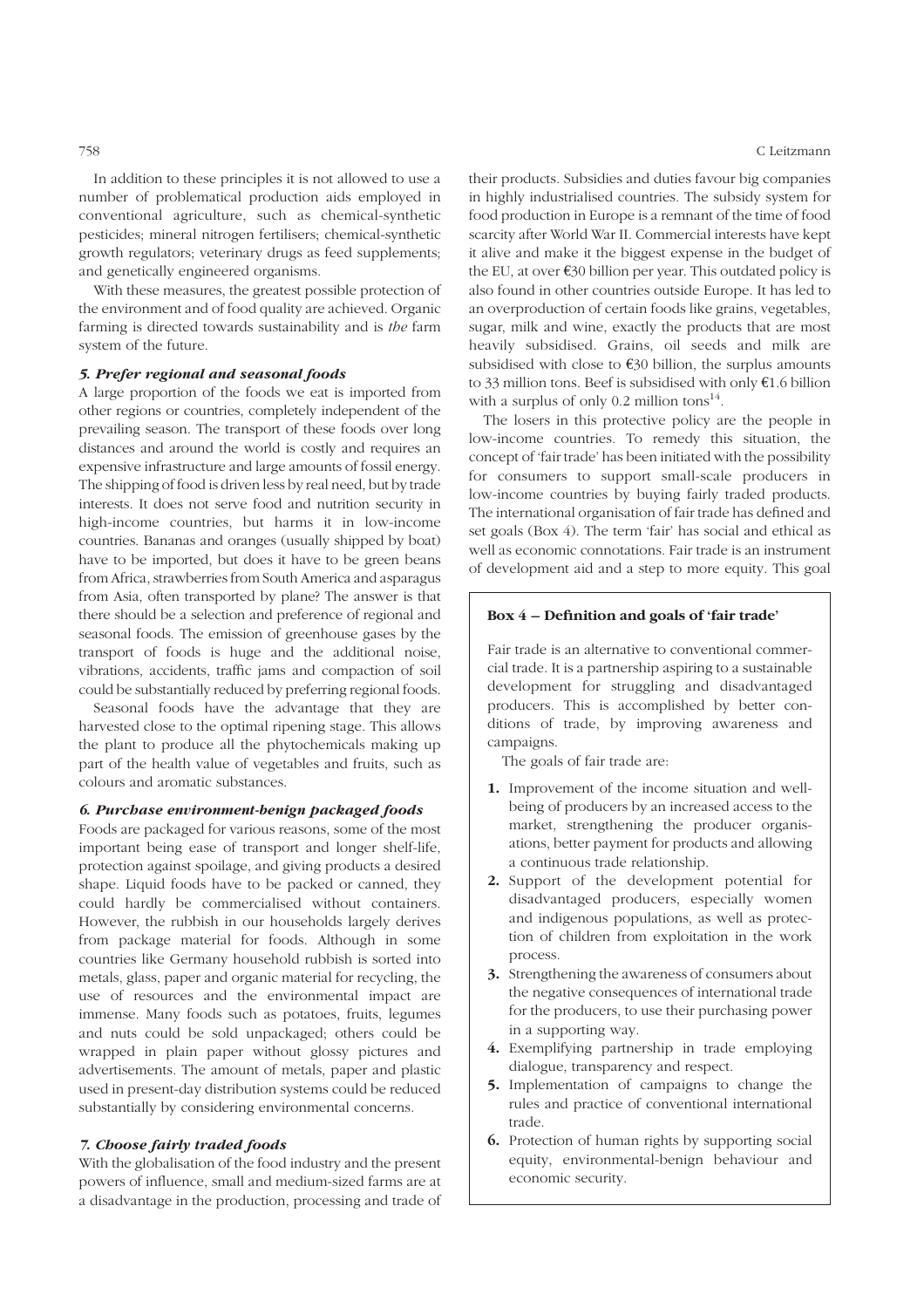In addition to these principles it is not allowed to use a number of problematical production aids employed in conventional agriculture, such as chemical-synthetic pesticides; mineral nitrogen fertilisers; chemical-synthetic growth regulators; veterinary drugs as feed supplements; and genetically engineered organisms.

With these measures, the greatest possible protection of the environment and of food quality are achieved. Organic farming is directed towards sustainability and is the farm system of the future.

#### 5. Prefer regional and seasonal foods

A large proportion of the foods we eat is imported from other regions or countries, completely independent of the prevailing season. The transport of these foods over long distances and around the world is costly and requires an expensive infrastructure and large amounts of fossil energy. The shipping of food is driven less by real need, but by trade interests. It does not serve food and nutrition security in high-income countries, but harms it in low-income countries. Bananas and oranges (usually shipped by boat) have to be imported, but does it have to be green beans from Africa, strawberries from South America and asparagus from Asia, often transported by plane? The answer is that there should be a selection and preference of regional and seasonal foods. The emission of greenhouse gases by the transport of foods is huge and the additional noise, vibrations, accidents, traffic jams and compaction of soil could be substantially reduced by preferring regional foods.

Seasonal foods have the advantage that they are harvested close to the optimal ripening stage. This allows the plant to produce all the phytochemicals making up part of the health value of vegetables and fruits, such as colours and aromatic substances.

#### 6. Purchase environment-benign packaged foods

Foods are packaged for various reasons, some of the most important being ease of transport and longer shelf-life, protection against spoilage, and giving products a desired shape. Liquid foods have to be packed or canned, they could hardly be commercialised without containers. However, the rubbish in our households largely derives from package material for foods. Although in some countries like Germany household rubbish is sorted into metals, glass, paper and organic material for recycling, the use of resources and the environmental impact are immense. Many foods such as potatoes, fruits, legumes and nuts could be sold unpackaged; others could be wrapped in plain paper without glossy pictures and advertisements. The amount of metals, paper and plastic used in present-day distribution systems could be reduced substantially by considering environmental concerns.

# 7. Choose fairly traded foods

With the globalisation of the food industry and the present powers of influence, small and medium-sized farms are at a disadvantage in the production, processing and trade of their products. Subsidies and duties favour big companies in highly industrialised countries. The subsidy system for food production in Europe is a remnant of the time of food scarcity after World War II. Commercial interests have kept it alive and make it the biggest expense in the budget of the EU, at over  $\epsilon$ 30 billion per year. This outdated policy is also found in other countries outside Europe. It has led to an overproduction of certain foods like grains, vegetables, sugar, milk and wine, exactly the products that are most heavily subsidised. Grains, oil seeds and milk are subsidised with close to  $\epsilon$ 30 billion, the surplus amounts to 33 million tons. Beef is subsidised with only  $E1.6$  billion with a surplus of only 0.2 million tons<sup>14</sup>.

The losers in this protective policy are the people in low-income countries. To remedy this situation, the concept of 'fair trade' has been initiated with the possibility for consumers to support small-scale producers in low-income countries by buying fairly traded products. The international organisation of fair trade has defined and set goals (Box 4). The term 'fair' has social and ethical as well as economic connotations. Fair trade is an instrument of development aid and a step to more equity. This goal

# Box 4 – Definition and goals of 'fair trade'

Fair trade is an alternative to conventional commercial trade. It is a partnership aspiring to a sustainable development for struggling and disadvantaged producers. This is accomplished by better conditions of trade, by improving awareness and campaigns.

The goals of fair trade are:

- 1. Improvement of the income situation and wellbeing of producers by an increased access to the market, strengthening the producer organisations, better payment for products and allowing a continuous trade relationship.
- 2. Support of the development potential for disadvantaged producers, especially women and indigenous populations, as well as protection of children from exploitation in the work process.
- 3. Strengthening the awareness of consumers about the negative consequences of international trade for the producers, to use their purchasing power in a supporting way.
- 4. Exemplifying partnership in trade employing dialogue, transparency and respect.
- 5. Implementation of campaigns to change the rules and practice of conventional international trade.
- 6. Protection of human rights by supporting social equity, environmental-benign behaviour and economic security.